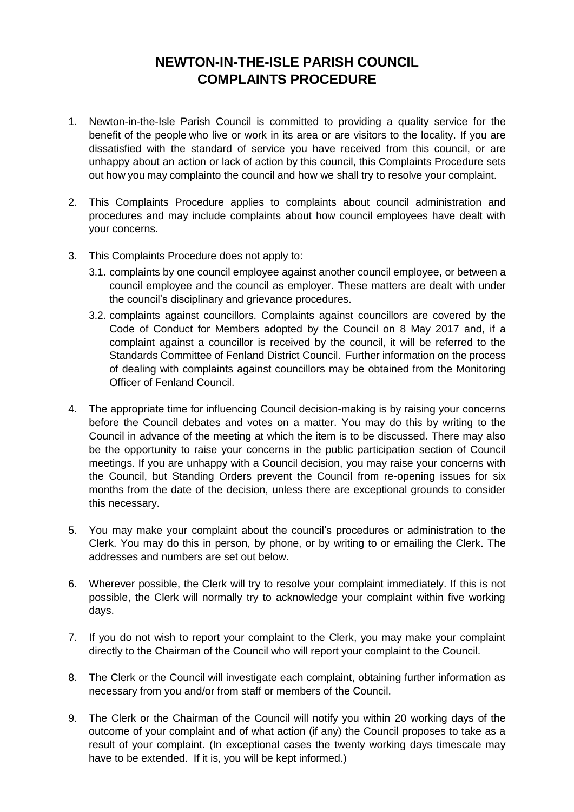## **NEWTON-IN-THE-ISLE PARISH COUNCIL COMPLAINTS PROCEDURE**

- 1. Newton-in-the-Isle Parish Council is committed to providing a quality service for the benefit of the people who live or work in its area or are visitors to the locality. If you are dissatisfied with the standard of service you have received from this council, or are unhappy about an action or lack of action by this council, this Complaints Procedure sets out how you may complainto the council and how we shall try to resolve your complaint.
- 2. This Complaints Procedure applies to complaints about council administration and procedures and may include complaints about how council employees have dealt with your concerns.
- 3. This Complaints Procedure does not apply to:
	- 3.1. complaints by one council employee against another council employee, or between a council employee and the council as employer. These matters are dealt with under the council's disciplinary and grievance procedures.
	- 3.2. complaints against councillors. Complaints against councillors are covered by the Code of Conduct for Members adopted by the Council on 8 May 2017 and, if a complaint against a councillor is received by the council, it will be referred to the Standards Committee of Fenland District Council. Further information on the process of dealing with complaints against councillors may be obtained from the Monitoring Officer of Fenland Council.
- 4. The appropriate time for influencing Council decision-making is by raising your concerns before the Council debates and votes on a matter. You may do this by writing to the Council in advance of the meeting at which the item is to be discussed. There may also be the opportunity to raise your concerns in the public participation section of Council meetings. If you are unhappy with a Council decision, you may raise your concerns with the Council, but Standing Orders prevent the Council from re-opening issues for six months from the date of the decision, unless there are exceptional grounds to consider this necessary.
- 5. You may make your complaint about the council's procedures or administration to the Clerk. You may do this in person, by phone, or by writing to or emailing the Clerk. The addresses and numbers are set out below.
- 6. Wherever possible, the Clerk will try to resolve your complaint immediately. If this is not possible, the Clerk will normally try to acknowledge your complaint within five working days.
- 7. If you do not wish to report your complaint to the Clerk, you may make your complaint directly to the Chairman of the Council who will report your complaint to the Council.
- 8. The Clerk or the Council will investigate each complaint, obtaining further information as necessary from you and/or from staff or members of the Council.
- 9. The Clerk or the Chairman of the Council will notify you within 20 working days of the outcome of your complaint and of what action (if any) the Council proposes to take as a result of your complaint. (In exceptional cases the twenty working days timescale may have to be extended. If it is, you will be kept informed.)